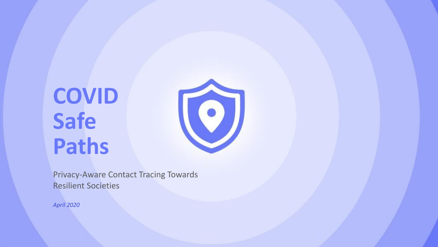# **COVID Safe Paths**



Privacy-Aware Contact Tracing Towards Resilient Societies

*April 2020*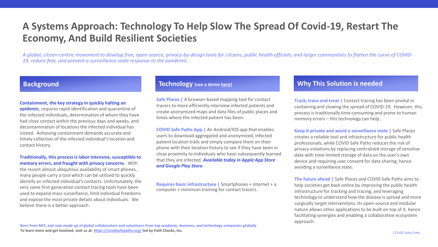# **A Systems Approach: Technology To Help Slow The Spread Of Covid-19, Restart The Economy, And Build Resilient Societies**

*A global, citizen-centric movement to develop free, open-source, privacy-by-design tools for citizens, public health officials, and larger communities to flatten the curve of COVID-19, reduce fear, and prevent a surveillance-state response to the pandemic.* 

#### **Containment, the key strategy in quickly halting an**

**epidemic**, requires rapid identification and quarantine of the infected individuals, determination of whom they have had close contact within the previous days and weeks, and decontamination of locations the infected individual has visited. Achieving containment demands accurate and timely collection of the infected individual's location and contact history.

#### **Traditionally, this process is labor intensive, susceptible to memory errors, and fraught with privacy concerns**. With

the recent almost ubiquitous availability of smart phones, many people carry a tool which can be utilized to quickly identify an infected individual's contacts. Unfortunately, the very same first-generation contact tracing tools have been used to expand mass surveillance, limit individual freedoms and expose the most private details about individuals. We believe there is a better approach.

**Safe Places |** A browser-based mapping tool for contact tracers to more efficiently interview infected patients and create anonymized maps and data files of public places and times where the infected patient has been.

**COVID Safe Paths App |** An Android/IOS app that enables users to download aggregated and anonymized, infected patient location trails and simply compare them on their phone with their location history to see if they have been in close proximity to individuals who have subsequently learned that they are infected. *Available today in Apple App Store and Google Play Store.*

**Requires basic infrastructure |** Smartphones + internet + a computer + minimum training for contact tracers.

#### **Background Technology (see a demo [here](https://drive.google.com/file/d/1v3yGyjqa8KegFxMq8JHmcFg1-NcxXmD4/view)) Why This Solution is needed**

**Track, trace and treat |** Contact tracing has been pivotal in containing and slowing the spread of COVID-19. However, this process is traditionally time consuming and prone to human memory errors – this technology can help.

**Keep it private and avoid a surveillance state |** Safe Places creates a reliable tool and infrastructure for public health professionals, while COVID Safe Paths reduces the risk of privacy violations by replacing centralized storage of sensitive data with time-limited storage of data on the user's own device and requiring user consent for data sharing; hence avoiding a surveillance state.

**The future ahead |** Safe Places and COVID Safe Paths aims to help societies get back online by improving the public health infrastructure for tracking and tracing, and leveraging technology to understand how the disease is spread and more surgically target interventions. Its open-source and modular nature allows other applications to be built on top of it, hence facilitating synergies and enabling a collaborative ecosystem approach.

**Born from MIT, and now made up of global collaborators and volunteers from top academic, business, and technology companies globally To learn more and get involved, visit us at**: **<https://covidsafepaths.org/> led by Path Checks, Inc.**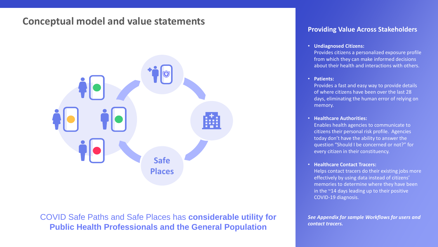# **Conceptual model and value statements**



COVID Safe Paths and Safe Places has **considerable utility for Public Health Professionals and the General Population**

#### **Providing Value Across Stakeholders**

#### • **Undiagnosed Citizens:**

Provides citizens a personalized exposure profile from which they can make informed decisions about their health and interactions with others.

#### • **Patients:**

Provides a fast and easy way to provide details of where citizens have been over the last 28 days, eliminating the human error of relying on memory.

#### • **Healthcare Authorities:**

Enables health agencies to communicate to citizens their personal risk profile. Agencies today don't have the ability to answer the question "Should I be concerned or not?" for every citizen in their constituency.

#### • **Healthcare Contact Tracers:**

Helps contact tracers do their existing jobs more effectively by using data instead of citizens' memories to determine where they have been in the ~14 days leading up to their positive COVID-19 diagnosis.

*See Appendix for sample Workflows for users and contact tracers.*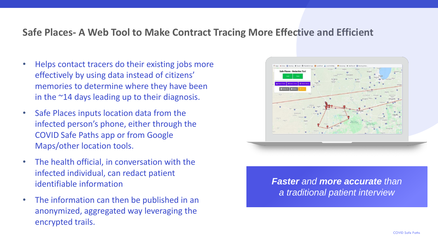# **Safe Places- A Web Tool to Make Contract Tracing More Effective and Efficient**

- Helps contact tracers do their existing jobs more effectively by using data instead of citizens' memories to determine where they have been in the ~14 days leading up to their diagnosis.
- Safe Places inputs location data from the infected person's phone, either through the COVID Safe Paths app or from Google Maps/other location tools.
- The health official, in conversation with the infected individual, can redact patient identifiable information
- The information can then be published in an anonymized, aggregated way leveraging the encrypted trails.



*Faster and more accurate than a traditional patient interview*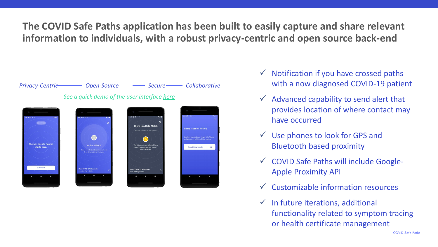**The COVID Safe Paths application has been built to easily capture and share relevant information to individuals, with a robust privacy-centric and open source back-end** 



- $\checkmark$  Notification if you have crossed paths with a now diagnosed COVID-19 patient
- $\checkmark$  Advanced capability to send alert that provides location of where contact may have occurred
- $\checkmark$  Use phones to look for GPS and Bluetooth based proximity
- ✓ COVID Safe Paths will include Google-Apple Proximity API
- $\checkmark$  Customizable information resources
- $\checkmark$  In future iterations, additional functionality related to symptom tracing or health certificate management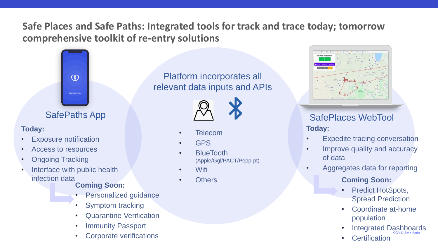# **Safe Places and Safe Paths: Integrated tools for track and trace today; tomorrow comprehensive toolkit of re-entry solutions**



# **Today:**

- **Exposure notification**
- Access to resources
- Ongoing Tracking
- Interface with public health infection data

### **Coming Soon:**

- **Personalized guidance**
- Symptom tracking
- Quarantine Verification
- **Immunity Passport**
- Corporate verifications

Platform incorporates all relevant data inputs and APIs



- **Telecom**
- GPS
- BlueTooth (Apple/Ggl/PACT/Pepp-pt)
- Wifi
- **Others**



# **Today:** SafePaths App  $\begin{array}{ccc}\n\sqrt{1} & \sqrt{2} \\
\end{array}$  SafePlaces WebTool

- **Expedite tracing conversation**
- Improve quality and accuracy of data
- Aggregates data for reporting

# **Coming Soon:**

- Predict HotSpots, Spread Prediction
- Coordinate at-home population
- COVID Safe Paths • Integrated Dashboards
- **Certification**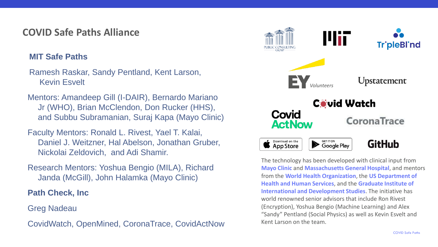# **COVID Safe Paths Alliance**

# **MIT Safe Paths**

Ramesh Raskar, Sandy Pentland, Kent Larson, Kevin Esvelt

Mentors: Amandeep Gill (I-DAIR), Bernardo Mariano Jr (WHO), Brian McClendon, Don Rucker (HHS), and Subbu Subramanian, Suraj Kapa (Mayo Clinic)

Faculty Mentors: Ronald L. Rivest, Yael T. Kalai, Daniel J. Weitzner, Hal Abelson, Jonathan Gruber, Nickolai Zeldovich, and Adi Shamir.

Research Mentors: Yoshua Bengio (MILA), Richard Janda (McGill), John Halamka (Mayo Clinic)

**Path Check, Inc**

Greg Nadeau

CovidWatch, OpenMined, CoronaTrace, CovidActNow



The technology has been developed with clinical input from **Mayo Clinic** and **Massachusetts General Hospital**, and mentors from the **World Health Organization**, the **US Department of Health and Human Services**, and the **Graduate Institute of International and Development Studies**. The initiative has world renowned senior advisors that include Ron Rivest (Encryption), Yoshua Bengio (Machine Learning) and Alex "Sandy" Pentland (Social Physics) as well as Kevin Esvelt and Kent Larson on the team.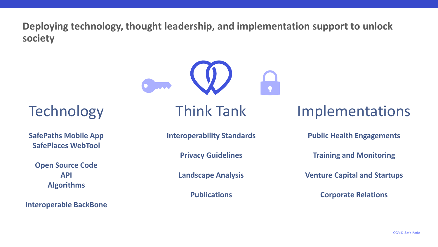**Deploying technology, thought leadership, and implementation support to unlock society**



**Technology** 

**SafePaths Mobile App SafePlaces WebTool**

**Open Source Code API Algorithms**

**Interoperable BackBone**

Think Tank

Implementations

**Interoperability Standards**

**Privacy Guidelines**

**Landscape Analysis**

**Publications**

**Public Health Engagements**

**Training and Monitoring**

**Venture Capital and Startups**

**Corporate Relations**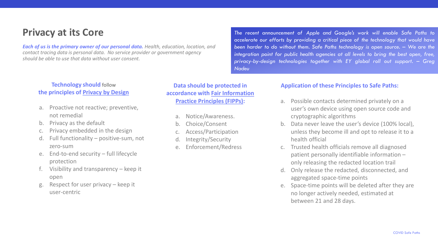# **Privacy at its Core**

*Each of us is the primary owner of our personal data. Health, education, location, and contact tracing data is personal data. No service provider or government agency should be able to use that data without user consent.* 

**Technology should** follow **the principles of [Privacy by Design](https://en.wikipedia.org/wiki/Privacy_by_design)**

- a. Proactive not reactive; preventive, not remedial
- b. Privacy as the default
- c. Privacy embedded in the design
- d. Full functionality positive-sum, not zero-sum
- e. End-to-end security full lifecycle protection
- Visibility and transparency  $-$  keep it open
- g. Respect for user privacy keep it user-centric

**Data should be protected in accordance with [Fair Information](https://en.wikipedia.org/wiki/FTC_fair_information_practice)  [Practice Principles \(FIPPs\):](https://en.wikipedia.org/wiki/FTC_fair_information_practice)**

- a. Notice/Awareness.
- b. Choice/Consent
- Access/Participation
- Integrity/Security
- e. Enforcement/Redress

*– been harder to do without them. Safe Paths technology is open source. We are the – - – privacy by-design technologies together with EY global roll out support. Greg - –The recent announcement of Apple and Google's work will enable Safe Paths to accelerate our efforts by providing a critical piece of the technology that would have integration point for public health agencies at all levels to bring the best open, free, Nadeu*

#### **Application of these Principles to Safe Paths:**

- a. Possible contacts determined privately on a user's own device using open source code and cryptographic algorithms
- b. Data never leave the user's device (100% local), unless they become ill and opt to release it to a health official
- c. Trusted health officials remove all diagnosed patient personally identifiable information – only releasing the redacted location trail
- d. Only release the redacted, disconnected, and aggregated space-time points
- e. Space-time points will be deleted after they are no longer actively needed, estimated at between 21 and 28 days.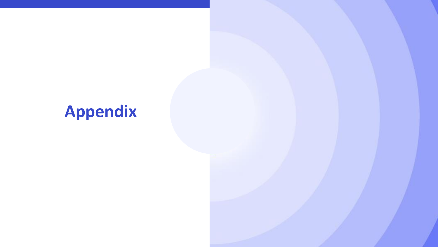

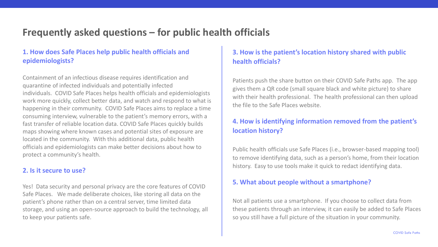# **Frequently asked questions – for public health officials**

### **1. How does Safe Places help public health officials and epidemiologists?**

Containment of an infectious disease requires identification and quarantine of infected individuals and potentially infected individuals. COVID Safe Places helps health officials and epidemiologists work more quickly, collect better data, and watch and respond to what is happening in their community. COVID Safe Places aims to replace a time consuming interview, vulnerable to the patient's memory errors, with a fast transfer of reliable location data. COVID Safe Places quickly builds maps showing where known cases and potential sites of exposure are located in the community. With this additional data, public health officials and epidemiologists can make better decisions about how to protect a community's health.

### **2. Is it secure to use?**

Yes! Data security and personal privacy are the core features of COVID Safe Places. We made deliberate choices, like storing all data on the patient's phone rather than on a central server, time limited data storage, and using an open-source approach to build the technology, all to keep your patients safe.

# **3. How is the patient's location history shared with public health officials?**

Patients push the share button on their COVID Safe Paths app. The app gives them a QR code (small square black and white picture) to share with their health professional. The health professional can then upload the file to the Safe Places website.

### **4. How is identifying information removed from the patient's location history?**

Public health officials use Safe Places (i.e., browser-based mapping tool) to remove identifying data, such as a person's home, from their location history. Easy to use tools make it quick to redact identifying data.

### **5. What about people without a smartphone?**

Not all patients use a smartphone. If you choose to collect data from these patients through an interview, it can easily be added to Safe Places so you still have a full picture of the situation in your community.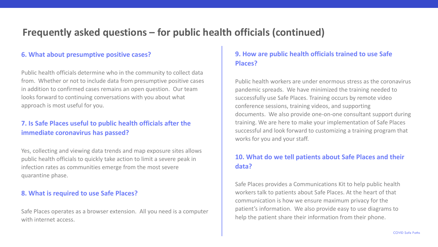# **Frequently asked questions – for public health officials (continued)**

#### **6. What about presumptive positive cases?**

Public health officials determine who in the community to collect data from. Whether or not to include data from presumptive positive cases in addition to confirmed cases remains an open question. Our team looks forward to continuing conversations with you about what approach is most useful for you.

### **7. Is Safe Places useful to public health officials after the immediate coronavirus has passed?**

Yes, collecting and viewing data trends and map exposure sites allows public health officials to quickly take action to limit a severe peak in infection rates as communities emerge from the most severe quarantine phase.

#### **8. What is required to use Safe Places?**

Safe Places operates as a browser extension. All you need is a computer with internet access.

### **9. How are public health officials trained to use Safe Places?**

Public health workers are under enormous stress as the coronavirus pandemic spreads. We have minimized the training needed to successfully use Safe Places. Training occurs by remote video conference sessions, training videos, and supporting documents. We also provide one-on-one consultant support during training. We are here to make your implementation of Safe Places successful and look forward to customizing a training program that works for you and your staff.

### **10. What do we tell patients about Safe Places and their data?**

Safe Places provides a Communications Kit to help public health workers talk to patients about Safe Places. At the heart of that communication is how we ensure maximum privacy for the patient's information. We also provide easy to use diagrams to help the patient share their information from their phone.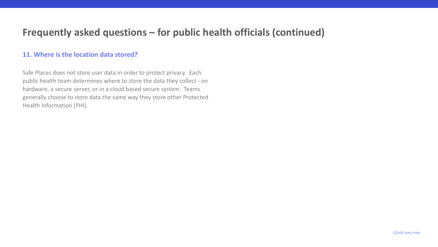# **Frequently asked questions – for public health officials (continued)**

#### **11. Where is the location data stored?**

Safe Places does not store user data in order to protect privacy. Each public health team determines where to store the data they collect - on hardware, a secure server, or in a cloud based secure system. Teams generally choose to store data the same way they store other Protected Health Information (PHI).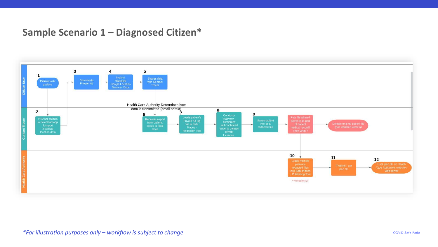# **Sample Scenario 1 – Diagnosed Citizen\***

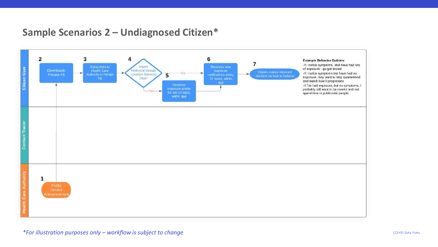# **Sample Scenarios 2 – Undiagnosed Citizen\***